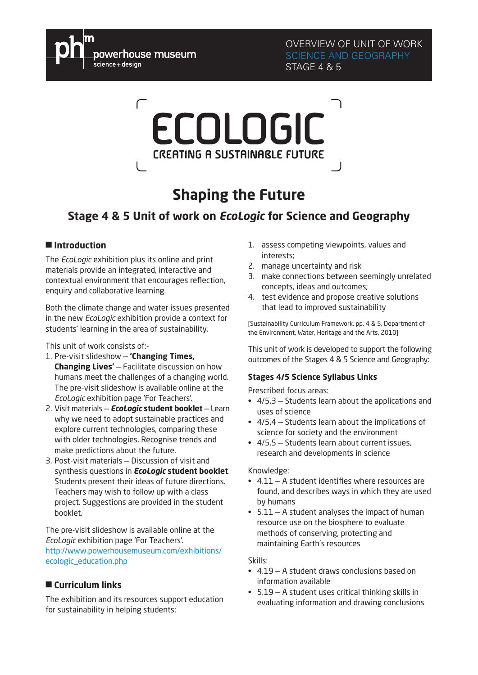

OVERVIEW OF UNIT OF WORK SCIENCE AND GEOGRAPHY STAGE 4 & 5

# ECOLOGIC **CREATING A SUSTAINABLE FUTURE**

## **Shaping the Future**

### **Stage 4 & 5 Unit of work on** *EcoLogic* **for Science and Geography**

#### ■ **Introduction**

The *EcoLogic* exhibition plus its online and print materials provide an integrated, interactive and contextual environment that encourages reflection, enquiry and collaborative learning.

Both the climate change and water issues presented in the new *EcoLogic* exhibition provide a context for students' learning in the area of sustainability.

This unit of work consists of:-

- 1. Pre-visit slideshow **'Changing Times, Changing Lives'** — Facilitate discussion on how humans meet the challenges of a changing world. The pre-visit slideshow is available online at the *EcoLogic* exhibition page 'For Teachers'.
- 2. Visit materials *EcoLogic* **student booklet** Learn why we need to adopt sustainable practices and explore current technologies, comparing these with older technologies. Recognise trends and make predictions about the future.
- 3. Post-visit materials Discussion of visit and synthesis questions in *EcoLogic* **student booklet**. Students present their ideas of future directions. Teachers may wish to follow up with a class project. Suggestions are provided in the student booklet.

The pre-visit slideshow is available online at the *EcoLogic* exhibition page 'For Teachers'. [http://www.powerhousemuseum.com/exhibitions/](http://www.powerhousemuseum.com/exhibitions/ecologic_education.php) [ecologic\\_education.php](http://www.powerhousemuseum.com/exhibitions/ecologic_education.php)

#### ■ **Curriculum links**

The exhibition and its resources support education for sustainability in helping students:

- 1. assess competing viewpoints, values and interests;
- 2. manage uncertainty and risk
- 3. make connections between seemingly unrelated concepts, ideas and outcomes;
- 4. test evidence and propose creative solutions that lead to improved sustainability

[Sustainability Curriculum Framework, pp. 4 & 5, Department of the Environment, Water, Heritage and the Arts, 2010]

This unit of work is developed to support the following outcomes of the Stages 4 & 5 Science and Geography:

#### **Stages 4/5 Science Syllabus Links**

Prescribed focus areas:

- $\cdot$  4/5.3 Students learn about the applications and uses of science
- $\cdot$  4/5.4 Students learn about the implications of science for society and the environment
- $\cdot$  4/5.5 Students learn about current issues, research and developments in science

#### Knowledge:

- $\cdot$  4.11 A student identifies where resources are found, and describes ways in which they are used by humans
- $\cdot$  5.11 A student analyses the impact of human resource use on the biosphere to evaluate methods of conserving, protecting and maintaining Earth's resources

#### Skills:

- $\cdot$  4.19 A student draws conclusions based on information available
- 5.19 A student uses critical thinking skills in evaluating information and drawing conclusions